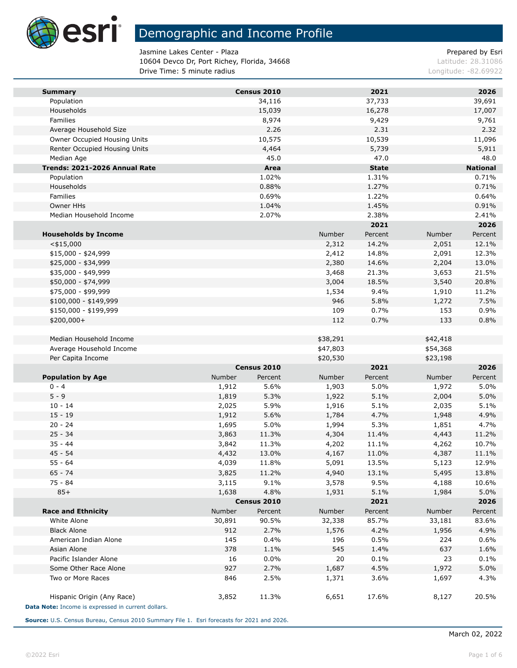

Jasmine Lakes Center - Plaza **Prepared by Esri** Prepared by Esri 10604 Devco Dr, Port Richey, Florida, 34668 Latitude: 28.31086 **Drive Time: 5 minute radius Congression Congress 2008** Longitude: -82.69922

| <b>Summary</b>                                     |        | Census 2010 |              | 2021         |          | 2026            |
|----------------------------------------------------|--------|-------------|--------------|--------------|----------|-----------------|
| Population                                         |        | 34,116      |              | 37,733       |          | 39,691          |
| Households                                         |        | 15,039      |              | 16,278       |          | 17,007          |
| Families                                           |        | 8,974       |              | 9,429        |          | 9,761           |
| Average Household Size                             |        | 2.26        |              | 2.31         |          | 2.32            |
| Owner Occupied Housing Units                       |        | 10,575      |              | 10,539       |          | 11,096          |
| Renter Occupied Housing Units                      |        | 4,464       |              | 5,739        |          | 5,911           |
| Median Age                                         |        | 45.0        |              | 47.0         |          | 48.0            |
| Trends: 2021-2026 Annual Rate                      |        | Area        |              | <b>State</b> |          | <b>National</b> |
| Population                                         |        | 1.02%       |              | 1.31%        |          | 0.71%           |
| Households                                         |        | 0.88%       |              | 1.27%        |          | 0.71%           |
| Families                                           |        | 0.69%       |              | 1.22%        |          | 0.64%           |
| Owner HHs                                          |        | 1.04%       |              | 1.45%        |          | 0.91%           |
| Median Household Income                            |        | 2.07%       |              | 2.38%        |          | 2.41%           |
|                                                    |        |             |              | 2021         |          | 2026            |
| <b>Households by Income</b>                        |        |             | Number       | Percent      | Number   | Percent         |
| $<$ \$15,000                                       |        |             | 2,312        | 14.2%        | 2,051    | 12.1%           |
| $$15,000 - $24,999$                                |        |             | 2,412        | 14.8%        | 2,091    | 12.3%           |
| \$25,000 - \$34,999                                |        |             | 2,380        | 14.6%        | 2,204    | 13.0%           |
| \$35,000 - \$49,999                                |        |             | 3,468        | 21.3%        | 3,653    | 21.5%           |
| \$50,000 - \$74,999                                |        |             | 3,004        | 18.5%        | 3,540    | 20.8%           |
| \$75,000 - \$99,999                                |        |             | 1,534<br>946 | 9.4%<br>5.8% | 1,910    | 11.2%           |
| \$100,000 - \$149,999                              |        |             |              |              | 1,272    | 7.5%            |
| \$150,000 - \$199,999                              |        |             | 109          | 0.7%         | 153      | 0.9%            |
| \$200,000+                                         |        |             | 112          | 0.7%         | 133      | 0.8%            |
| Median Household Income                            |        |             | \$38,291     |              | \$42,418 |                 |
| Average Household Income                           |        |             | \$47,803     |              | \$54,368 |                 |
| Per Capita Income                                  |        |             | \$20,530     |              | \$23,198 |                 |
|                                                    |        | Census 2010 |              | 2021         |          | 2026            |
| <b>Population by Age</b>                           | Number | Percent     | Number       | Percent      | Number   | Percent         |
| $0 - 4$                                            | 1,912  | 5.6%        | 1,903        | 5.0%         | 1,972    | 5.0%            |
| $5 - 9$                                            | 1,819  | 5.3%        | 1,922        | 5.1%         | 2,004    | 5.0%            |
| $10 - 14$                                          | 2,025  | 5.9%        | 1,916        | 5.1%         | 2,035    | 5.1%            |
| $15 - 19$                                          | 1,912  | 5.6%        | 1,784        | 4.7%         | 1,948    | 4.9%            |
| $20 - 24$                                          | 1,695  | 5.0%        | 1,994        | 5.3%         | 1,851    | 4.7%            |
| $25 - 34$                                          | 3,863  | 11.3%       | 4,304        | 11.4%        | 4,443    | 11.2%           |
| $35 - 44$                                          | 3,842  | 11.3%       | 4,202        | 11.1%        | 4,262    | 10.7%           |
| $45 - 54$                                          | 4,432  | 13.0%       | 4,167        | 11.0%        | 4,387    | 11.1%           |
| 55 - 64                                            | 4,039  | 11.8%       | 5,091        | 13.5%        | 5,123    | 12.9%           |
| $65 - 74$                                          | 3,825  | 11.2%       | 4,940        | 13.1%        | 5,495    | 13.8%           |
| 75 - 84                                            | 3,115  | 9.1%        | 3,578        | 9.5%         | 4,188    | 10.6%           |
| $85+$                                              | 1,638  | 4.8%        | 1,931        | 5.1%         | 1,984    | 5.0%            |
|                                                    |        | Census 2010 |              | 2021         |          | 2026            |
| <b>Race and Ethnicity</b>                          | Number | Percent     | Number       | Percent      | Number   | Percent         |
| White Alone                                        | 30,891 | 90.5%       | 32,338       | 85.7%        | 33,181   | 83.6%           |
| <b>Black Alone</b>                                 | 912    | 2.7%        | 1,576        | 4.2%         | 1,956    | 4.9%            |
| American Indian Alone                              | 145    | 0.4%        | 196          | 0.5%         | 224      | 0.6%            |
| Asian Alone                                        | 378    | 1.1%        | 545          | 1.4%         | 637      | 1.6%            |
| Pacific Islander Alone                             | 16     | 0.0%        | 20           | 0.1%         | 23       | 0.1%            |
| Some Other Race Alone                              | 927    | 2.7%        | 1,687        | 4.5%         | 1,972    | 5.0%            |
| Two or More Races                                  | 846    | 2.5%        | 1,371        | 3.6%         | 1,697    | 4.3%            |
| Hispanic Origin (Any Race)                         | 3,852  | 11.3%       | 6,651        | 17.6%        | 8,127    | 20.5%           |
| Data Note: Income is expressed in current dollars. |        |             |              |              |          |                 |

**Source:** U.S. Census Bureau, Census 2010 Summary File 1. Esri forecasts for 2021 and 2026.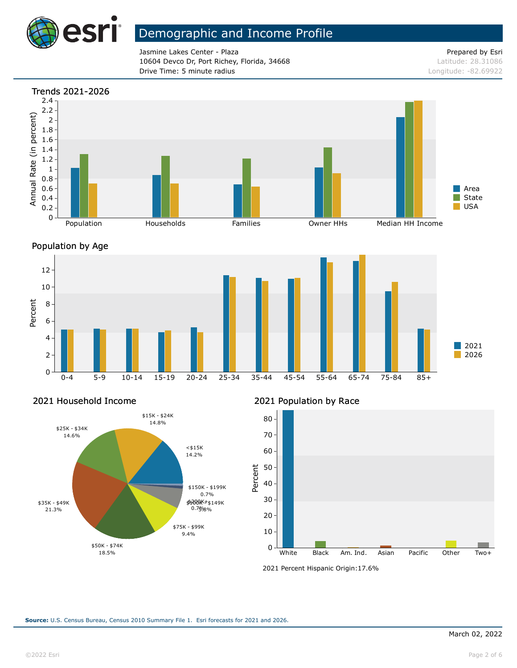

Jasmine Lakes Center - Plaza **Prepared by Esri** Prepared by Esri 10604 Devco Dr, Port Richey, Florida, 34668 Latitude: 28.31086 **Drive Time: 5 minute radius Constanting Constanting Constanting Constanting Constanting Constanting Constanting Constanting Constanting Constanting Constanting Constanting Constanting Constanting Constanting Constanting** 







### 2021 Household Income



### 2021 Population by Race



<sup>2021</sup> Percent Hispanic Origin: 17.6%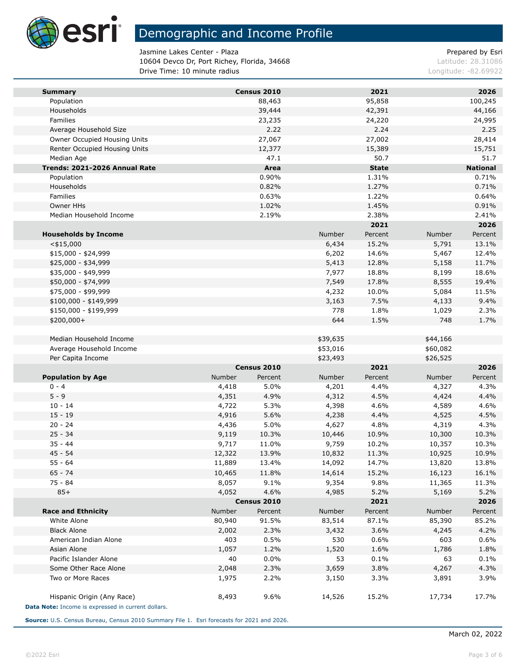

Jasmine Lakes Center - Plaza **Prepared by Esri** Prepared by Esri 10604 Devco Dr, Port Richey, Florida, 34668 Latitude: 28.31086 **Drive Time: 10 minute radius Longitude: -82.69922 Longitude: -82.69922** 

| <b>Summary</b>                                     |                | Census 2010  |                 | 2021          |                | 2026            |
|----------------------------------------------------|----------------|--------------|-----------------|---------------|----------------|-----------------|
| Population                                         |                | 88,463       |                 | 95,858        |                | 100,245         |
| Households                                         |                | 39,444       |                 | 42,391        |                | 44,166          |
| Families                                           |                | 23,235       |                 | 24,220        |                | 24,995          |
| Average Household Size                             |                | 2.22         |                 | 2.24          |                | 2.25            |
| Owner Occupied Housing Units                       |                | 27,067       |                 | 27,002        |                | 28,414          |
| Renter Occupied Housing Units                      |                | 12,377       |                 | 15,389        |                | 15,751          |
| Median Age                                         |                | 47.1         |                 | 50.7          |                | 51.7            |
| Trends: 2021-2026 Annual Rate                      |                | Area         |                 | <b>State</b>  |                | <b>National</b> |
| Population                                         |                | 0.90%        |                 | 1.31%         |                | 0.71%           |
| Households                                         |                | 0.82%        |                 | 1.27%         |                | 0.71%           |
| Families<br>Owner HHs                              |                | 0.63%        |                 | 1.22%         |                | 0.64%           |
|                                                    |                | 1.02%        |                 | 1.45%         |                | 0.91%           |
| Median Household Income                            |                | 2.19%        |                 | 2.38%<br>2021 |                | 2.41%<br>2026   |
|                                                    |                |              |                 | Percent       | Number         | Percent         |
| <b>Households by Income</b>                        |                |              | Number<br>6,434 | 15.2%         | 5,791          | 13.1%           |
| $<$ \$15,000<br>$$15,000 - $24,999$                |                |              | 6,202           | 14.6%         | 5,467          | 12.4%           |
| \$25,000 - \$34,999                                |                |              | 5,413           | 12.8%         | 5,158          | 11.7%           |
| \$35,000 - \$49,999                                |                |              | 7,977           | 18.8%         | 8,199          | 18.6%           |
| \$50,000 - \$74,999                                |                |              | 7,549           | 17.8%         | 8,555          | 19.4%           |
| \$75,000 - \$99,999                                |                |              | 4,232           | 10.0%         | 5,084          | 11.5%           |
| $$100,000 - $149,999$                              |                |              | 3,163           | 7.5%          | 4,133          | 9.4%            |
| \$150,000 - \$199,999                              |                |              | 778             | 1.8%          | 1,029          | 2.3%            |
| \$200,000+                                         |                |              | 644             | 1.5%          | 748            | 1.7%            |
|                                                    |                |              |                 |               |                |                 |
| Median Household Income                            |                |              | \$39,635        |               | \$44,166       |                 |
| Average Household Income                           |                |              | \$53,016        |               | \$60,082       |                 |
| Per Capita Income                                  |                |              | \$23,493        |               | \$26,525       |                 |
|                                                    |                | Census 2010  |                 | 2021          |                | 2026            |
| <b>Population by Age</b>                           | Number         | Percent      | Number          | Percent       | Number         | Percent         |
| $0 - 4$                                            | 4,418          | 5.0%         | 4,201           | 4.4%          | 4,327          | 4.3%            |
| $5 - 9$                                            | 4,351          | 4.9%         | 4,312           | 4.5%          | 4,424          | 4.4%            |
| $10 - 14$                                          | 4,722          | 5.3%         | 4,398           | 4.6%          | 4,589          | 4.6%            |
| $15 - 19$                                          | 4,916          | 5.6%         | 4,238           | 4.4%          | 4,525          | 4.5%            |
| $20 - 24$                                          | 4,436          | 5.0%         | 4,627           | 4.8%          | 4,319          | 4.3%            |
| $25 - 34$                                          | 9,119          | 10.3%        | 10,446          | 10.9%         | 10,300         | 10.3%           |
| $35 - 44$                                          | 9,717          | 11.0%        | 9,759           | 10.2%         | 10,357         | 10.3%           |
| $45 - 54$                                          | 12,322         | 13.9%        | 10,832          | 11.3%         | 10,925         | 10.9%           |
| $55 - 64$                                          | 11,889         | 13.4%        | 14,092          | 14.7%         | 13,820         | 13.8%           |
| $65 - 74$                                          | 10,465         | 11.8%        | 14,614          | 15.2%         | 16,123         | 16.1%           |
| $75 - 84$                                          | 8,057          | 9.1%         | 9,354           | 9.8%          | 11,365         | 11.3%           |
| $85+$                                              | 4,052          | 4.6%         | 4,985           | 5.2%          | 5,169          | 5.2%            |
|                                                    |                | Census 2010  |                 | 2021          |                | 2026            |
| <b>Race and Ethnicity</b>                          | Number         | Percent      | Number          | Percent       | Number         | Percent         |
| White Alone                                        | 80,940         | 91.5%        | 83,514          | 87.1%         | 85,390         | 85.2%           |
| <b>Black Alone</b>                                 | 2,002          | 2.3%         | 3,432           | 3.6%          | 4,245          | 4.2%            |
| American Indian Alone                              | 403            | 0.5%         | 530             | 0.6%          | 603            | 0.6%            |
| Asian Alone                                        | 1,057          | 1.2%         | 1,520           | 1.6%          | 1,786          | 1.8%            |
| Pacific Islander Alone<br>Some Other Race Alone    | 40             | 0.0%<br>2.3% | 53              | 0.1%          | 63             | 0.1%            |
| Two or More Races                                  | 2,048<br>1,975 | 2.2%         | 3,659<br>3,150  | 3.8%<br>3.3%  | 4,267<br>3,891 | 4.3%<br>3.9%    |
|                                                    |                |              |                 |               |                |                 |
| Hispanic Origin (Any Race)                         | 8,493          | 9.6%         | 14,526          | 15.2%         | 17,734         | 17.7%           |
| Data Note: Income is expressed in current dollars. |                |              |                 |               |                |                 |

**Source:** U.S. Census Bureau, Census 2010 Summary File 1. Esri forecasts for 2021 and 2026.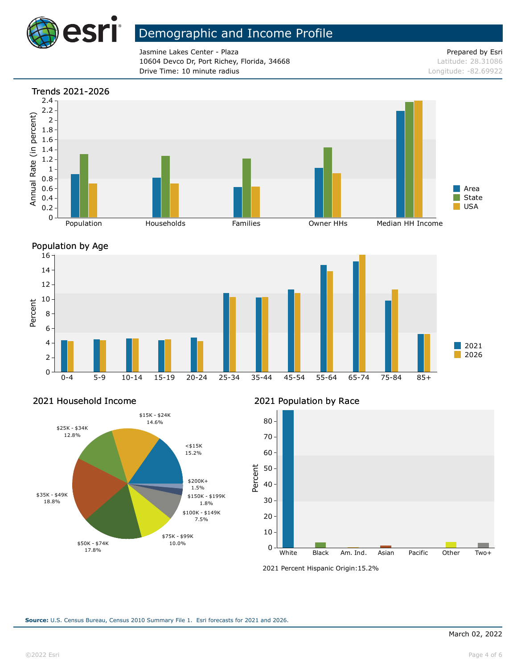

Jasmine Lakes Center - Plaza **Prepared by Esri** Prepared by Esri 10604 Devco Dr, Port Richey, Florida, 34668 Latitude: 28.31086 **Drive Time: 10 minute radius Longitude: -82.69922** 





#### 2021 Household Income

![](_page_3_Figure_8.jpeg)

### 2021 Population by Race

![](_page_3_Figure_10.jpeg)

<sup>2021</sup> Percent Hispanic Origin: 15.2%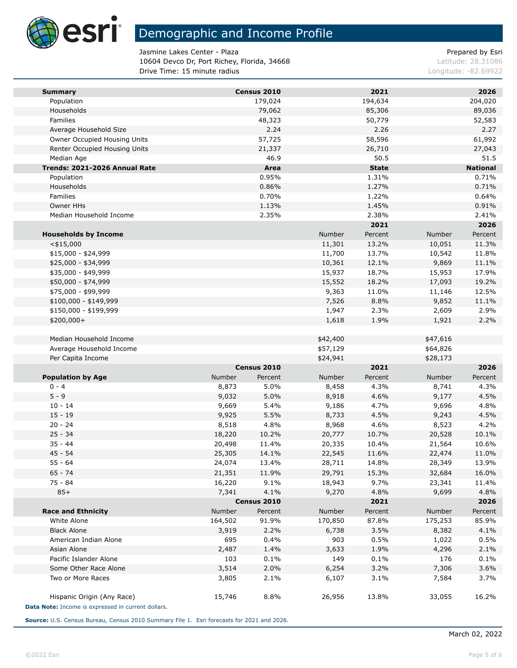![](_page_4_Picture_0.jpeg)

e i

# Demographic and Income Profile

Jasmine Lakes Center - Plaza **Prepared by Esri** Prepared by Esri 10604 Devco Dr, Port Richey, Florida, 34668 Latitude: 28.31086 **Drive Time: 15 minute radius Longitude: -82.69922 Longitude: -82.69922** 

| <b>Summary</b>                                     |         | Census 2010 |          | 2021         |          | 2026            |
|----------------------------------------------------|---------|-------------|----------|--------------|----------|-----------------|
| Population                                         |         | 179,024     |          | 194,634      |          | 204,020         |
| Households                                         |         | 79,062      |          | 85,306       |          | 89,036          |
| Families                                           |         | 48,323      |          | 50,779       |          | 52,583          |
| Average Household Size                             |         | 2.24        |          | 2.26         |          | 2.27            |
| Owner Occupied Housing Units                       |         | 57,725      |          | 58,596       |          | 61,992          |
| Renter Occupied Housing Units                      |         | 21,337      |          | 26,710       |          | 27,043          |
| Median Age                                         |         | 46.9        |          | 50.5         |          | 51.5            |
| Trends: 2021-2026 Annual Rate                      |         | Area        |          | <b>State</b> |          | <b>National</b> |
| Population                                         |         | 0.95%       |          | 1.31%        |          | 0.71%           |
| Households                                         |         | 0.86%       |          | 1.27%        |          | 0.71%           |
| Families                                           |         | 0.70%       |          | 1.22%        |          | 0.64%           |
| Owner HHs                                          |         | 1.13%       |          | 1.45%        |          | 0.91%           |
| Median Household Income                            |         | 2.35%       |          | 2.38%        |          | 2.41%           |
|                                                    |         |             |          | 2021         |          | 2026            |
| <b>Households by Income</b>                        |         |             | Number   | Percent      | Number   | Percent         |
| $<$ \$15,000                                       |         |             | 11,301   | 13.2%        | 10,051   | 11.3%           |
| $$15,000 - $24,999$                                |         |             | 11,700   | 13.7%        | 10,542   | 11.8%           |
| \$25,000 - \$34,999                                |         |             | 10,361   | 12.1%        | 9,869    | 11.1%           |
| \$35,000 - \$49,999                                |         |             | 15,937   | 18.7%        | 15,953   | 17.9%           |
| \$50,000 - \$74,999                                |         |             | 15,552   | 18.2%        | 17,093   | 19.2%           |
| \$75,000 - \$99,999                                |         |             | 9,363    | 11.0%        | 11,146   | 12.5%           |
| \$100,000 - \$149,999                              |         |             | 7,526    | 8.8%         | 9,852    | 11.1%           |
| \$150,000 - \$199,999                              |         |             | 1,947    | 2.3%         | 2,609    | 2.9%            |
| $$200,000+$                                        |         |             | 1,618    | 1.9%         | 1,921    | 2.2%            |
|                                                    |         |             |          |              |          |                 |
| Median Household Income                            |         |             | \$42,400 |              | \$47,616 |                 |
| Average Household Income                           |         |             | \$57,129 |              | \$64,826 |                 |
| Per Capita Income                                  |         |             | \$24,941 |              | \$28,173 |                 |
|                                                    |         | Census 2010 |          | 2021         |          | 2026            |
| <b>Population by Age</b>                           | Number  | Percent     | Number   | Percent      | Number   | Percent         |
| $0 - 4$                                            | 8,873   | 5.0%        | 8,458    | 4.3%         | 8,741    | 4.3%            |
| $5 - 9$                                            | 9,032   | 5.0%        | 8,918    | 4.6%         | 9,177    | 4.5%            |
| $10 - 14$                                          | 9,669   | 5.4%        | 9,186    | 4.7%         | 9,696    | 4.8%            |
| $15 - 19$                                          | 9,925   | 5.5%        | 8,733    | 4.5%         | 9,243    | 4.5%            |
| $20 - 24$                                          | 8,518   | 4.8%        | 8,968    | 4.6%         | 8,523    | 4.2%            |
| $25 - 34$                                          | 18,220  | 10.2%       | 20,777   | 10.7%        | 20,528   | 10.1%           |
| $35 - 44$                                          | 20,498  | 11.4%       | 20,335   | 10.4%        | 21,564   | 10.6%           |
| $45 - 54$                                          | 25,305  | 14.1%       | 22,545   | 11.6%        | 22,474   | 11.0%           |
| $55 - 64$                                          | 24,074  | 13.4%       | 28,711   | 14.8%        | 28,349   | 13.9%           |
| $65 - 74$                                          | 21,351  | 11.9%       | 29,791   | 15.3%        | 32,684   | 16.0%           |
| 75 - 84                                            | 16,220  | 9.1%        | 18,943   | 9.7%         | 23,341   | 11.4%           |
| $85+$                                              | 7,341   | 4.1%        | 9,270    | 4.8%         | 9,699    | 4.8%            |
|                                                    |         | Census 2010 |          | 2021         |          | 2026            |
| <b>Race and Ethnicity</b>                          | Number  | Percent     | Number   | Percent      | Number   | Percent         |
| White Alone                                        | 164,502 | 91.9%       | 170,850  | 87.8%        | 175,253  | 85.9%           |
| <b>Black Alone</b>                                 | 3,919   | 2.2%        | 6,738    | 3.5%         | 8,382    | 4.1%            |
| American Indian Alone                              | 695     | 0.4%        | 903      | 0.5%         | 1,022    | 0.5%            |
| Asian Alone                                        | 2,487   | 1.4%        | 3,633    | 1.9%         | 4,296    | 2.1%            |
| Pacific Islander Alone                             | 103     | 0.1%        | 149      | 0.1%         | 176      | 0.1%            |
| Some Other Race Alone                              | 3,514   | 2.0%        | 6,254    | 3.2%         | 7,306    | 3.6%            |
| Two or More Races                                  | 3,805   | 2.1%        | 6,107    | 3.1%         | 7,584    | 3.7%            |
|                                                    |         |             |          |              |          |                 |
| Hispanic Origin (Any Race)                         | 15,746  | 8.8%        | 26,956   | 13.8%        | 33,055   | 16.2%           |
| Data Note: Income is expressed in current dollars. |         |             |          |              |          |                 |

**Source:** U.S. Census Bureau, Census 2010 Summary File 1. Esri forecasts for 2021 and 2026.